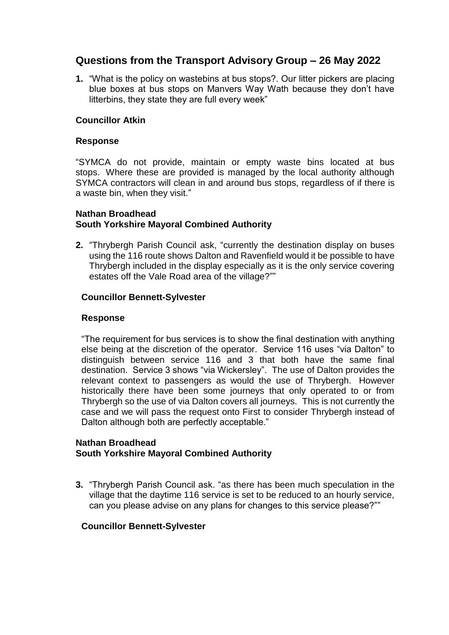# **Questions from the Transport Advisory Group – 26 May 2022**

**1.** "What is the policy on wastebins at bus stops?. Our litter pickers are placing blue boxes at bus stops on Manvers Way Wath because they don't have litterbins, they state they are full every week"

# **Councillor Atkin**

## **Response**

"SYMCA do not provide, maintain or empty waste bins located at bus stops. Where these are provided is managed by the local authority although SYMCA contractors will clean in and around bus stops, regardless of if there is a waste bin, when they visit."

# **Nathan Broadhead South Yorkshire Mayoral Combined Authority**

**2.** "Thrybergh Parish Council ask, "currently the destination display on buses using the 116 route shows Dalton and Ravenfield would it be possible to have Thrybergh included in the display especially as it is the only service covering estates off the Vale Road area of the village?""

# **Councillor Bennett-Sylvester**

#### **Response**

"The requirement for bus services is to show the final destination with anything else being at the discretion of the operator. Service 116 uses "via Dalton" to distinguish between service 116 and 3 that both have the same final destination. Service 3 shows "via Wickersley". The use of Dalton provides the relevant context to passengers as would the use of Thrybergh. However historically there have been some journeys that only operated to or from Thrybergh so the use of via Dalton covers all journeys. This is not currently the case and we will pass the request onto First to consider Thrybergh instead of Dalton although both are perfectly acceptable."

## **Nathan Broadhead South Yorkshire Mayoral Combined Authority**

**3.** "Thrybergh Parish Council ask. "as there has been much speculation in the village that the daytime 116 service is set to be reduced to an hourly service, can you please advise on any plans for changes to this service please?""

# **Councillor Bennett-Sylvester**